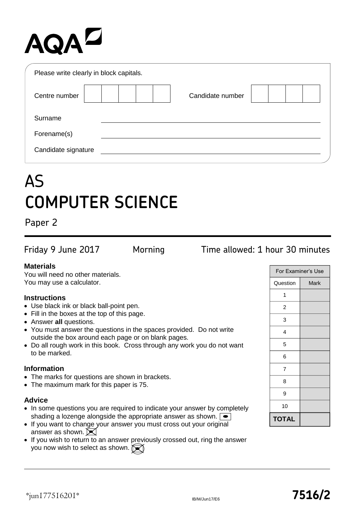# **AQAL**

| Please write clearly in block capitals. |                  |  |
|-----------------------------------------|------------------|--|
| Centre number                           | Candidate number |  |
| Surname                                 |                  |  |
| Forename(s)                             |                  |  |
| Candidate signature                     |                  |  |

## AS **COMPUTER SCIENCE**

Paper 2

## Friday 9 June 2017 Morning Time allowed: 1 hour 30 minutes

#### **Materials**

You will need no other materials. You may use a calculator.

#### **Instructions**

- Use black ink or black ball-point pen.
- Fill in the boxes at the top of this page.
- Answer **all** questions.
- You must answer the questions in the spaces provided. Do not write outside the box around each page or on blank pages.
- Do all rough work in this book. Cross through any work you do not want to be marked.

#### **Information**

- The marks for questions are shown in brackets.
- The maximum mark for this paper is 75.

### **Advice**

- In some questions you are required to indicate your answer by completely shading a lozenge alongside the appropriate answer as shown.  $\bullet$
- If you want to change your answer you must cross out your original answer as shown.  $\blacktriangleright$
- If you wish to return to an answer previously crossed out, ring the answer you now wish to select as shown.

| For Examiner's Use |      |  |  |  |  |  |
|--------------------|------|--|--|--|--|--|
| Question           | Mark |  |  |  |  |  |
| 1                  |      |  |  |  |  |  |
| 2                  |      |  |  |  |  |  |
| 3                  |      |  |  |  |  |  |
| 4                  |      |  |  |  |  |  |
| 5                  |      |  |  |  |  |  |
| 6                  |      |  |  |  |  |  |
| 7                  |      |  |  |  |  |  |
| 8                  |      |  |  |  |  |  |
| 9                  |      |  |  |  |  |  |
| 10                 |      |  |  |  |  |  |
| <b>TOTAL</b>       |      |  |  |  |  |  |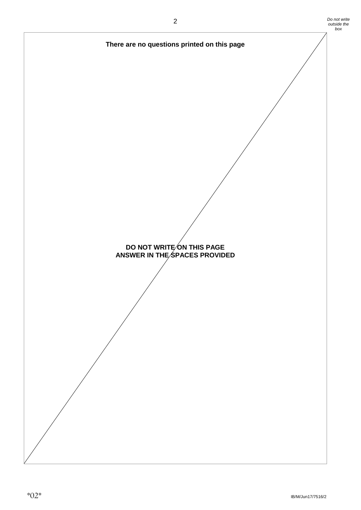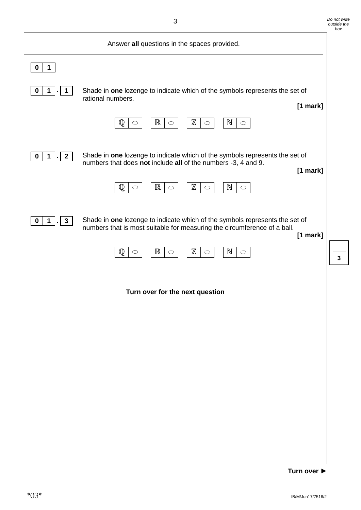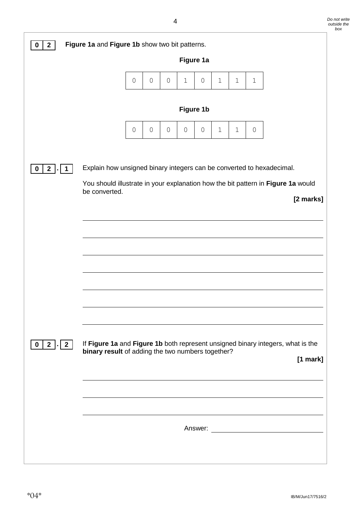| $\overline{2}$<br>0                                                                                                                                                                                                 | Figure 1a and Figure 1b show two bit patterns.                                                                                       |              |              |                     |              |              |       |              |             |          |  |
|---------------------------------------------------------------------------------------------------------------------------------------------------------------------------------------------------------------------|--------------------------------------------------------------------------------------------------------------------------------------|--------------|--------------|---------------------|--------------|--------------|-------|--------------|-------------|----------|--|
|                                                                                                                                                                                                                     |                                                                                                                                      |              |              |                     | Figure 1a    |              |       |              |             |          |  |
|                                                                                                                                                                                                                     |                                                                                                                                      | $\circ$      | $\mathsf{O}$ | $\mathsf{O}$        | $\mathbf 1$  | $\circ$      | $1\,$ | $\mathbf{1}$ | $\mathbf 1$ |          |  |
|                                                                                                                                                                                                                     | Figure 1b                                                                                                                            |              |              |                     |              |              |       |              |             |          |  |
|                                                                                                                                                                                                                     |                                                                                                                                      | $\mathsf{O}$ | $\mathsf{O}$ | $\mathsf{O}\xspace$ | $\mathsf{O}$ | $\mathsf{O}$ | $1\,$ | $1\,$        | $\circ$     |          |  |
| Explain how unsigned binary integers can be converted to hexadecimal.<br>$\mathbf{2}$<br>$\bf{0}$<br>You should illustrate in your explanation how the bit pattern in Figure 1a would<br>be converted.<br>[2 marks] |                                                                                                                                      |              |              |                     |              |              |       |              |             |          |  |
| $2 \mid \cdot \mid 2 \mid$<br>$\mathbf 0$                                                                                                                                                                           | If Figure 1a and Figure 1b both represent unsigned binary integers, what is the<br>binary result of adding the two numbers together? |              |              |                     |              |              |       |              |             | [1 mark] |  |
|                                                                                                                                                                                                                     |                                                                                                                                      |              |              |                     |              |              |       |              |             |          |  |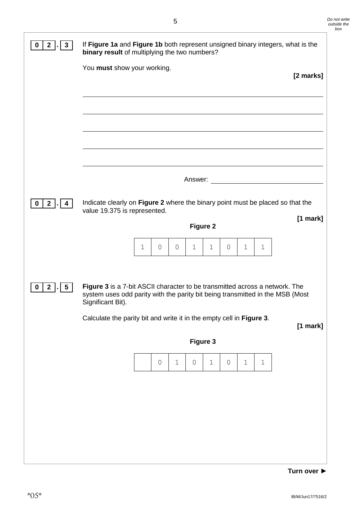| $2$ .<br>$\mathbf{3}$<br>$\mathbf 0$    | If Figure 1a and Figure 1b both represent unsigned binary integers, what is the<br>binary result of multiplying the two numbers?                                                  |  |  |  |  |  |  |
|-----------------------------------------|-----------------------------------------------------------------------------------------------------------------------------------------------------------------------------------|--|--|--|--|--|--|
|                                         | You must show your working.<br>[2 marks]                                                                                                                                          |  |  |  |  |  |  |
|                                         |                                                                                                                                                                                   |  |  |  |  |  |  |
|                                         |                                                                                                                                                                                   |  |  |  |  |  |  |
|                                         |                                                                                                                                                                                   |  |  |  |  |  |  |
|                                         | Answer: <u>________________________________</u>                                                                                                                                   |  |  |  |  |  |  |
| $2$ .<br>$\mathbf 0$<br>-4              | Indicate clearly on Figure 2 where the binary point must be placed so that the<br>value 19.375 is represented.                                                                    |  |  |  |  |  |  |
|                                         | $[1$ mark]<br><b>Figure 2</b>                                                                                                                                                     |  |  |  |  |  |  |
|                                         | 1<br>0<br>0<br>$\mathbf 1$<br>$\mathbf 1$<br>0<br>1<br>1                                                                                                                          |  |  |  |  |  |  |
| $2$ .<br>$\mathbf 0$<br>$5\overline{)}$ | Figure 3 is a 7-bit ASCII character to be transmitted across a network. The<br>system uses odd parity with the parity bit being transmitted in the MSB (Most<br>Significant Bit). |  |  |  |  |  |  |
|                                         | Calculate the parity bit and write it in the empty cell in Figure 3.<br>$[1$ mark]                                                                                                |  |  |  |  |  |  |
|                                         | Figure 3                                                                                                                                                                          |  |  |  |  |  |  |
|                                         | $\mathbf 1$<br>$\mathsf O$<br>$\mathbf 1$<br>$\mathsf{O}$<br>$\mathsf{O}$<br>$\mathbf 1$<br>$\mathbf 1$                                                                           |  |  |  |  |  |  |
|                                         |                                                                                                                                                                                   |  |  |  |  |  |  |
|                                         |                                                                                                                                                                                   |  |  |  |  |  |  |
|                                         |                                                                                                                                                                                   |  |  |  |  |  |  |
|                                         |                                                                                                                                                                                   |  |  |  |  |  |  |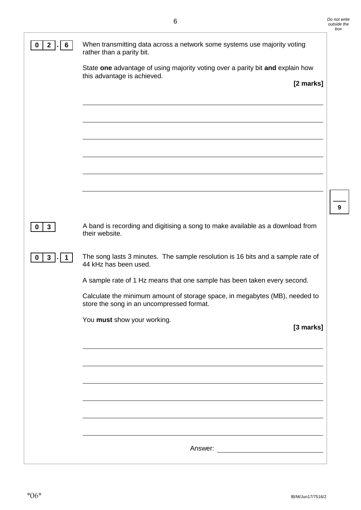| $\mathbf{2}$<br>$\boldsymbol{0}$<br>6 | When transmitting data across a network some systems use majority voting<br>rather than a parity bit.                    |
|---------------------------------------|--------------------------------------------------------------------------------------------------------------------------|
|                                       | State one advantage of using majority voting over a parity bit and explain how<br>this advantage is achieved.            |
|                                       | [2 marks]                                                                                                                |
|                                       |                                                                                                                          |
|                                       |                                                                                                                          |
|                                       |                                                                                                                          |
|                                       |                                                                                                                          |
|                                       |                                                                                                                          |
| $\mathbf{3}$<br>$\mathbf 0$           | A band is recording and digitising a song to make available as a download from<br>their website.                         |
| $3$ . 1<br>$\mathbf 0$                | The song lasts 3 minutes. The sample resolution is 16 bits and a sample rate of<br>44 kHz has been used.                 |
|                                       | A sample rate of 1 Hz means that one sample has been taken every second.                                                 |
|                                       | Calculate the minimum amount of storage space, in megabytes (MB), needed to<br>store the song in an uncompressed format. |
|                                       | You must show your working.<br>[3 marks]                                                                                 |
|                                       |                                                                                                                          |
|                                       |                                                                                                                          |
|                                       |                                                                                                                          |
|                                       |                                                                                                                          |
|                                       |                                                                                                                          |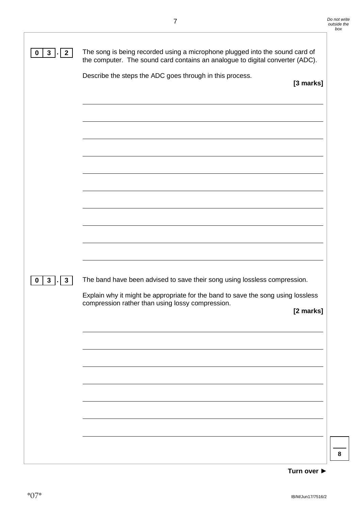|                                 | Describe the steps the ADC goes through in this process.<br>[3 marks]            |
|---------------------------------|----------------------------------------------------------------------------------|
|                                 |                                                                                  |
|                                 |                                                                                  |
|                                 |                                                                                  |
|                                 |                                                                                  |
|                                 |                                                                                  |
|                                 |                                                                                  |
|                                 |                                                                                  |
|                                 |                                                                                  |
|                                 |                                                                                  |
| $3\overline{3}$<br>$\mathbf{3}$ | The band have been advised to save their song using lossless compression.        |
|                                 | Explain why it might be appropriate for the band to save the song using lossless |
|                                 | compression rather than using lossy compression.<br>[2 marks]                    |
|                                 |                                                                                  |
|                                 |                                                                                  |
|                                 |                                                                                  |
|                                 |                                                                                  |
|                                 |                                                                                  |
|                                 |                                                                                  |

#### **Turn over ►**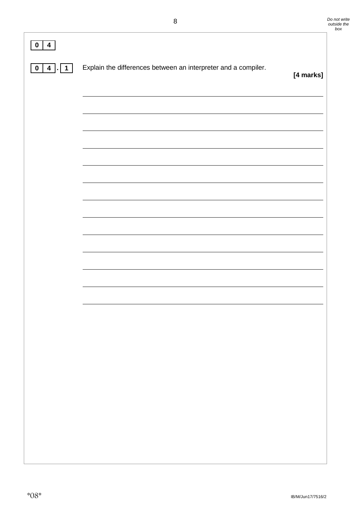| $\overline{\mathbf{4}}$<br>$\mathbf 0$ |                                                                |           |
|----------------------------------------|----------------------------------------------------------------|-----------|
| $4$   $\mid$ 1<br>$\mathbf 0$          | Explain the differences between an interpreter and a compiler. | [4 marks] |
|                                        |                                                                |           |
|                                        |                                                                |           |
|                                        |                                                                |           |
|                                        |                                                                |           |
|                                        |                                                                |           |
|                                        |                                                                |           |
|                                        |                                                                |           |
|                                        |                                                                |           |
|                                        |                                                                |           |
|                                        |                                                                |           |
|                                        |                                                                |           |
|                                        |                                                                |           |
|                                        |                                                                |           |
|                                        |                                                                |           |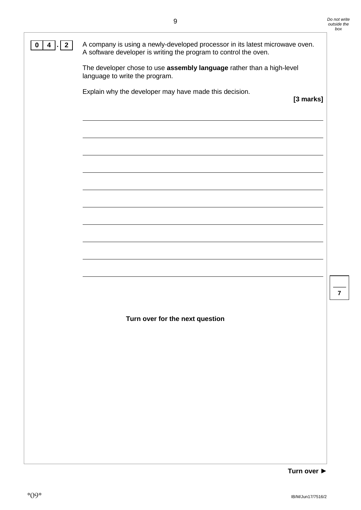**0 4**  $\boxed{0}$  **A** company is using a newly-developed processor in its latest microwave oven. A software developer is writing the program to control the oven.

> The developer chose to use **assembly language** rather than a high-level language to write the program.

Explain why the developer may have made this decision.

**[3 marks]**

**Turn over for the next question**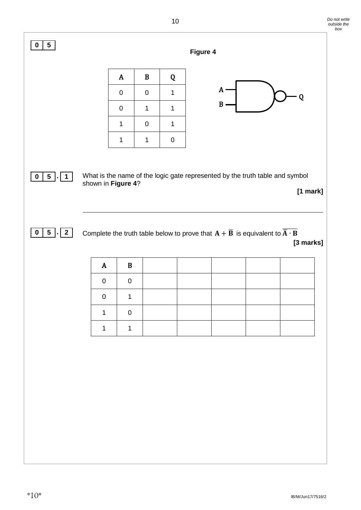| Figure 4<br>$\, {\bf B}$<br>$\mathbf{A}$<br>Q<br>$\mathbf{A}$<br>$\pmb{0}$<br>$\mathbf 0$<br>$\mathbf{1}$<br>Q<br>$B -$<br>$\pmb{0}$<br>$\mathbf 1$<br>1<br>$\pmb{0}$<br>$\mathbf{1}$<br>$\mathbf 1$<br>$\mathbf{1}$<br>1<br>$\pmb{0}$<br>What is the name of the logic gate represented by the truth table and symbol<br>shown in Figure 4?<br>$\overline{2}$<br>Complete the truth table below to prove that $\mathbf{A} + \overline{\mathbf{B}}$ is equivalent to $\overline{\overline{\mathbf{A}} \cdot \mathbf{B}}$<br>$\, {\bf B}$<br>$\mathbf{A}$<br>$\pmb{0}$<br>$\pmb{0}$<br>$\boldsymbol{0}$<br>1<br>$\mathbf{1}$<br>$\pmb{0}$<br>$\mathbf{1}$<br>$\mathbf{1}$ | $[1$ mark]<br>[3 marks] | $0 \mid 5$<br>$5$ . 1<br>$5$ . |  |  | $\cdot$ |  |  |  |
|--------------------------------------------------------------------------------------------------------------------------------------------------------------------------------------------------------------------------------------------------------------------------------------------------------------------------------------------------------------------------------------------------------------------------------------------------------------------------------------------------------------------------------------------------------------------------------------------------------------------------------------------------------------------------|-------------------------|--------------------------------|--|--|---------|--|--|--|
|                                                                                                                                                                                                                                                                                                                                                                                                                                                                                                                                                                                                                                                                          |                         |                                |  |  |         |  |  |  |
|                                                                                                                                                                                                                                                                                                                                                                                                                                                                                                                                                                                                                                                                          |                         |                                |  |  |         |  |  |  |
|                                                                                                                                                                                                                                                                                                                                                                                                                                                                                                                                                                                                                                                                          |                         |                                |  |  |         |  |  |  |
|                                                                                                                                                                                                                                                                                                                                                                                                                                                                                                                                                                                                                                                                          |                         |                                |  |  |         |  |  |  |
|                                                                                                                                                                                                                                                                                                                                                                                                                                                                                                                                                                                                                                                                          |                         |                                |  |  |         |  |  |  |
|                                                                                                                                                                                                                                                                                                                                                                                                                                                                                                                                                                                                                                                                          |                         |                                |  |  |         |  |  |  |
|                                                                                                                                                                                                                                                                                                                                                                                                                                                                                                                                                                                                                                                                          |                         |                                |  |  |         |  |  |  |
|                                                                                                                                                                                                                                                                                                                                                                                                                                                                                                                                                                                                                                                                          |                         |                                |  |  |         |  |  |  |
|                                                                                                                                                                                                                                                                                                                                                                                                                                                                                                                                                                                                                                                                          |                         |                                |  |  |         |  |  |  |
|                                                                                                                                                                                                                                                                                                                                                                                                                                                                                                                                                                                                                                                                          |                         |                                |  |  |         |  |  |  |
|                                                                                                                                                                                                                                                                                                                                                                                                                                                                                                                                                                                                                                                                          |                         |                                |  |  |         |  |  |  |
|                                                                                                                                                                                                                                                                                                                                                                                                                                                                                                                                                                                                                                                                          |                         |                                |  |  |         |  |  |  |
|                                                                                                                                                                                                                                                                                                                                                                                                                                                                                                                                                                                                                                                                          |                         |                                |  |  |         |  |  |  |
|                                                                                                                                                                                                                                                                                                                                                                                                                                                                                                                                                                                                                                                                          |                         |                                |  |  |         |  |  |  |
|                                                                                                                                                                                                                                                                                                                                                                                                                                                                                                                                                                                                                                                                          |                         |                                |  |  |         |  |  |  |
|                                                                                                                                                                                                                                                                                                                                                                                                                                                                                                                                                                                                                                                                          |                         |                                |  |  |         |  |  |  |

*Do not write*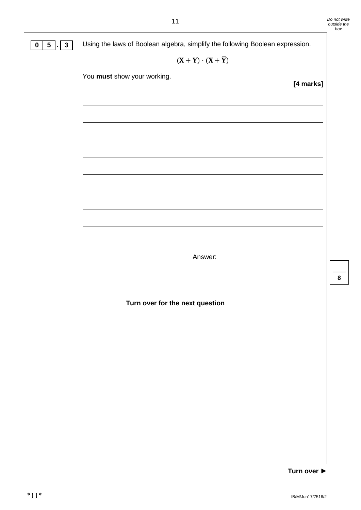| 5 . <br>$\mathbf{3}$<br>0 | Using the laws of Boolean algebra, simplify the following Boolean expression.                                          |           |  |  |  |  |  |
|---------------------------|------------------------------------------------------------------------------------------------------------------------|-----------|--|--|--|--|--|
|                           | $(X + Y) \cdot (X + \overline{Y})$                                                                                     |           |  |  |  |  |  |
|                           | You must show your working.                                                                                            |           |  |  |  |  |  |
|                           |                                                                                                                        | [4 marks] |  |  |  |  |  |
|                           |                                                                                                                        |           |  |  |  |  |  |
|                           |                                                                                                                        |           |  |  |  |  |  |
|                           |                                                                                                                        |           |  |  |  |  |  |
|                           |                                                                                                                        |           |  |  |  |  |  |
|                           |                                                                                                                        |           |  |  |  |  |  |
|                           |                                                                                                                        |           |  |  |  |  |  |
|                           | <u> 1989 - Johann Stoff, amerikansk politiker (d. 1989)</u>                                                            |           |  |  |  |  |  |
|                           | <u> 1989 - Johann Stoff, deutscher Stoffen und der Stoffen und der Stoffen und der Stoffen und der Stoffen und der</u> |           |  |  |  |  |  |
|                           |                                                                                                                        |           |  |  |  |  |  |
|                           |                                                                                                                        |           |  |  |  |  |  |
|                           |                                                                                                                        |           |  |  |  |  |  |
|                           |                                                                                                                        |           |  |  |  |  |  |
|                           |                                                                                                                        |           |  |  |  |  |  |
|                           | Turn over for the next question                                                                                        |           |  |  |  |  |  |
|                           |                                                                                                                        |           |  |  |  |  |  |
|                           |                                                                                                                        |           |  |  |  |  |  |
|                           |                                                                                                                        |           |  |  |  |  |  |
|                           |                                                                                                                        |           |  |  |  |  |  |
|                           |                                                                                                                        |           |  |  |  |  |  |
|                           |                                                                                                                        |           |  |  |  |  |  |
|                           |                                                                                                                        |           |  |  |  |  |  |
|                           |                                                                                                                        |           |  |  |  |  |  |
|                           |                                                                                                                        |           |  |  |  |  |  |
|                           |                                                                                                                        |           |  |  |  |  |  |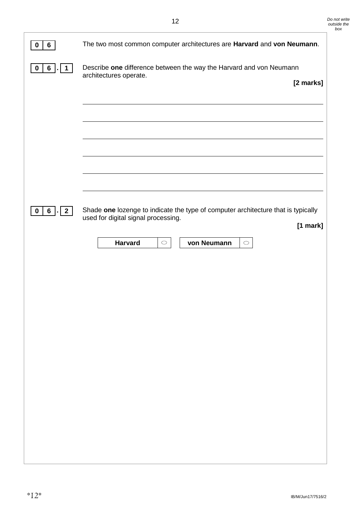| 6<br>$\bf{0}$                                      | The two most common computer architectures are Harvard and von Neumann.                                                              |
|----------------------------------------------------|--------------------------------------------------------------------------------------------------------------------------------------|
| 6 <sup>1</sup><br>$\boldsymbol{0}$<br>$\mathbf{1}$ | Describe one difference between the way the Harvard and von Neumann<br>architectures operate.<br>[2 marks]                           |
|                                                    |                                                                                                                                      |
|                                                    |                                                                                                                                      |
|                                                    |                                                                                                                                      |
|                                                    |                                                                                                                                      |
|                                                    |                                                                                                                                      |
| $\mathbf 0$<br>$6$ .<br>$\sqrt{2}$                 | Shade one lozenge to indicate the type of computer architecture that is typically<br>used for digital signal processing.<br>[1 mark] |
|                                                    | <b>Harvard</b><br>von Neumann<br>$\bigcirc$<br>$\bigcirc$                                                                            |
|                                                    |                                                                                                                                      |
|                                                    |                                                                                                                                      |
|                                                    |                                                                                                                                      |
|                                                    |                                                                                                                                      |
|                                                    |                                                                                                                                      |
|                                                    |                                                                                                                                      |
|                                                    |                                                                                                                                      |
|                                                    |                                                                                                                                      |
|                                                    |                                                                                                                                      |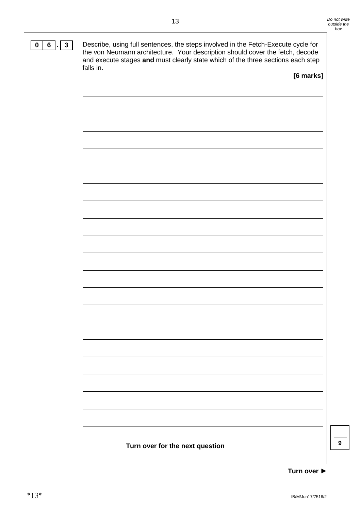

**Turn over ►**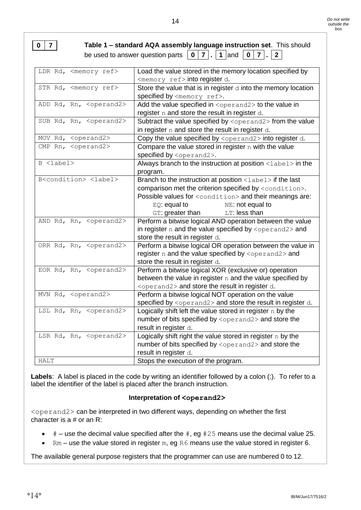| $\overline{0}$ |                                  | Table 1 - standard AQA assembly language instruction set. This should<br>be used to answer question parts $\vert 0 \vert 7 \vert . \vert 1 \vert$ and $\vert 0 \vert 7 \vert . \vert 2 \vert$ |
|----------------|----------------------------------|-----------------------------------------------------------------------------------------------------------------------------------------------------------------------------------------------|
|                | LDR Rd, <memory ref=""></memory> | Load the value stored in the memory location specified by                                                                                                                                     |
|                |                                  | <memory ref=""> into register d.</memory>                                                                                                                                                     |
|                | STR Rd, <memory ref=""></memory> | Store the value that is in register $d$ into the memory location                                                                                                                              |
|                |                                  | specified by <memory ref="">.</memory>                                                                                                                                                        |

| ADD Rd, Rn, <operand2></operand2>         | Add the value specified in <operand2> to the value in</operand2>       |
|-------------------------------------------|------------------------------------------------------------------------|
|                                           | register n and store the result in register d.                         |
| SUB Rd, Rn, <operand2></operand2>         | Subtract the value specified by <operand2> from the value</operand2>   |
|                                           | in register $n$ and store the result in register $d$ .                 |
| MOV Rd, <operand2></operand2>             | Copy the value specified by <operand2> into register d.</operand2>     |
| CMP Rn, <operand2></operand2>             | Compare the value stored in register $n$ with the value                |
|                                           | specified by <operand2>.</operand2>                                    |
| B <label></label>                         | Always branch to the instruction at position <label> in the</label>    |
|                                           | program.                                                               |
| B <condition> <label></label></condition> | Branch to the instruction at position <label> if the last</label>      |
|                                           | comparison met the criterion specified by <condition>.</condition>     |
|                                           | Possible values for <condition> and their meanings are:</condition>    |
|                                           | $EQ$ : equal to<br>NE: not equal to                                    |
|                                           | GT: greater than<br>LT: less than                                      |
| AND Rd, Rn, <operand2></operand2>         | Perform a bitwise logical AND operation between the value              |
|                                           | in register $n$ and the value specified by $\langle$ operand2> and     |
|                                           | store the result in register d.                                        |
| ORR Rd, Rn, <operand2></operand2>         | Perform a bitwise logical OR operation between the value in            |
|                                           | register n and the value specified by <operand2> and</operand2>        |
|                                           | store the result in register d.                                        |
| EOR Rd, Rn, <operand2></operand2>         | Perform a bitwise logical XOR (exclusive or) operation                 |
|                                           | between the value in register $n$ and the value specified by           |
|                                           | <operand2> and store the result in register d.</operand2>              |
| MVN Rd, <operand2></operand2>             | Perform a bitwise logical NOT operation on the value                   |
|                                           | specified by <operand2> and store the result in register d.</operand2> |
| LSL Rd, Rn, <operand2></operand2>         | Logically shift left the value stored in register $n$ by the           |
|                                           | number of bits specified by <operand2> and store the</operand2>        |
|                                           | result in register d.                                                  |
| LSR Rd, Rn, <operand2></operand2>         | Logically shift right the value stored in register $n$ by the          |
|                                           | number of bits specified by <operand2> and store the</operand2>        |
|                                           | result in register d.                                                  |
| <b>HALT</b>                               | Stops the execution of the program.                                    |

**Labels**: A label is placed in the code by writing an identifier followed by a colon (:). To refer to a label the identifier of the label is placed after the branch instruction.

#### **Interpretation of <operand2>**

<operand2> can be interpreted in two different ways, depending on whether the first character is a # or an R:

- $\bullet$  # use the decimal value specified after the  $\#$ , eg  $\#25$  means use the decimal value 25.
- $\bullet$  Rm use the value stored in register m, eg R6 means use the value stored in register 6.

The available general purpose registers that the programmer can use are numbered 0 to 12.

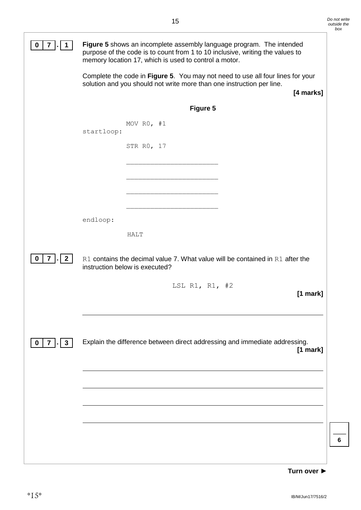|                                    | Figure 5 shows an incomplete assembly language program. The intended<br>purpose of the code is to count from 1 to 10 inclusive, writing the values to<br>memory location 17, which is used to control a motor. |                                                                                                                 |            |  |  |
|------------------------------------|----------------------------------------------------------------------------------------------------------------------------------------------------------------------------------------------------------------|-----------------------------------------------------------------------------------------------------------------|------------|--|--|
|                                    | Complete the code in Figure 5. You may not need to use all four lines for your<br>solution and you should not write more than one instruction per line.<br>[4 marks]                                           |                                                                                                                 |            |  |  |
|                                    |                                                                                                                                                                                                                | Figure 5                                                                                                        |            |  |  |
|                                    | startloop:                                                                                                                                                                                                     | MOV $R0$ , #1<br>STR R0, 17                                                                                     |            |  |  |
|                                    |                                                                                                                                                                                                                |                                                                                                                 |            |  |  |
|                                    |                                                                                                                                                                                                                |                                                                                                                 |            |  |  |
|                                    |                                                                                                                                                                                                                |                                                                                                                 |            |  |  |
|                                    |                                                                                                                                                                                                                |                                                                                                                 |            |  |  |
|                                    | endloop:                                                                                                                                                                                                       | HALT                                                                                                            |            |  |  |
| $ \cdot $ 2<br>$\overline{7}$<br>0 |                                                                                                                                                                                                                | R1 contains the decimal value 7. What value will be contained in R1 after the<br>instruction below is executed? |            |  |  |
|                                    |                                                                                                                                                                                                                | LSL R1, R1, $#2$                                                                                                | $[1$ mark] |  |  |
| $\mathbf{3}$<br>$\mathbf 0$<br>7   |                                                                                                                                                                                                                | Explain the difference between direct addressing and immediate addressing.                                      | $[1$ mark] |  |  |
|                                    |                                                                                                                                                                                                                |                                                                                                                 |            |  |  |
|                                    |                                                                                                                                                                                                                |                                                                                                                 |            |  |  |
|                                    |                                                                                                                                                                                                                |                                                                                                                 |            |  |  |
|                                    |                                                                                                                                                                                                                |                                                                                                                 |            |  |  |
|                                    |                                                                                                                                                                                                                |                                                                                                                 |            |  |  |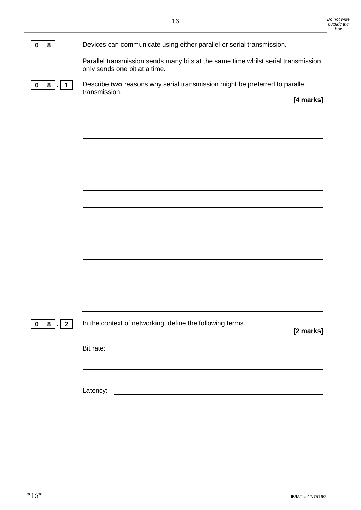| 8<br>0                                          | Devices can communicate using either parallel or serial transmission.                                                              |  |
|-------------------------------------------------|------------------------------------------------------------------------------------------------------------------------------------|--|
|                                                 | Parallel transmission sends many bits at the same time whilst serial transmission<br>only sends one bit at a time.                 |  |
| 8 <sup>1</sup><br>$\mathbf 0$<br>. I 1          | Describe two reasons why serial transmission might be preferred to parallel<br>transmission.                                       |  |
|                                                 | [4 marks]                                                                                                                          |  |
|                                                 |                                                                                                                                    |  |
|                                                 |                                                                                                                                    |  |
|                                                 |                                                                                                                                    |  |
|                                                 |                                                                                                                                    |  |
|                                                 |                                                                                                                                    |  |
|                                                 |                                                                                                                                    |  |
|                                                 |                                                                                                                                    |  |
|                                                 |                                                                                                                                    |  |
|                                                 |                                                                                                                                    |  |
|                                                 |                                                                                                                                    |  |
|                                                 |                                                                                                                                    |  |
|                                                 |                                                                                                                                    |  |
| 8 <sup>1</sup><br>2 <sup>1</sup><br>$\mathbf 0$ | In the context of networking, define the following terms.<br>[2 marks]                                                             |  |
|                                                 | Bit rate:<br><u> 1980 - Johann Barn, marwolaethau a bhann an t-Amhain Aonaich an t-Amhain Aonaich an t-Amhain Aonaich an t-Amh</u> |  |
|                                                 |                                                                                                                                    |  |
|                                                 | Latency:                                                                                                                           |  |
|                                                 | <u> 1980 - Johann Stoff, fransk politik (d. 1980)</u>                                                                              |  |
|                                                 |                                                                                                                                    |  |
|                                                 |                                                                                                                                    |  |
|                                                 |                                                                                                                                    |  |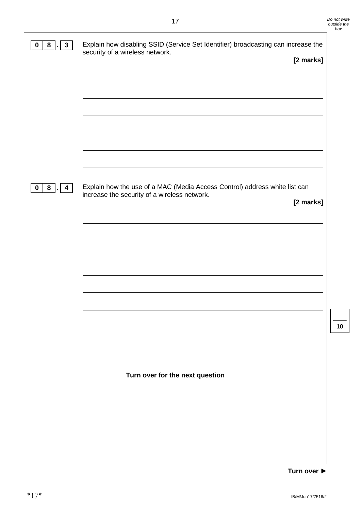| $\mathbf{3}$<br>8<br>0                                | Explain how disabling SSID (Service Set Identifier) broadcasting can increase the<br>security of a wireless network.       |
|-------------------------------------------------------|----------------------------------------------------------------------------------------------------------------------------|
|                                                       | [2 marks]                                                                                                                  |
|                                                       |                                                                                                                            |
|                                                       |                                                                                                                            |
|                                                       |                                                                                                                            |
|                                                       |                                                                                                                            |
|                                                       |                                                                                                                            |
|                                                       |                                                                                                                            |
|                                                       |                                                                                                                            |
| 8 <sup>1</sup><br>$\overline{4}$<br>$\mathbf 0$<br>×. | Explain how the use of a MAC (Media Access Control) address white list can<br>increase the security of a wireless network. |
|                                                       | [2 marks]                                                                                                                  |
|                                                       |                                                                                                                            |
|                                                       |                                                                                                                            |
|                                                       |                                                                                                                            |
|                                                       |                                                                                                                            |
|                                                       |                                                                                                                            |
|                                                       |                                                                                                                            |
|                                                       |                                                                                                                            |
|                                                       |                                                                                                                            |
|                                                       |                                                                                                                            |
|                                                       | Turn over for the next question                                                                                            |
|                                                       |                                                                                                                            |
|                                                       |                                                                                                                            |
|                                                       |                                                                                                                            |
|                                                       |                                                                                                                            |
|                                                       |                                                                                                                            |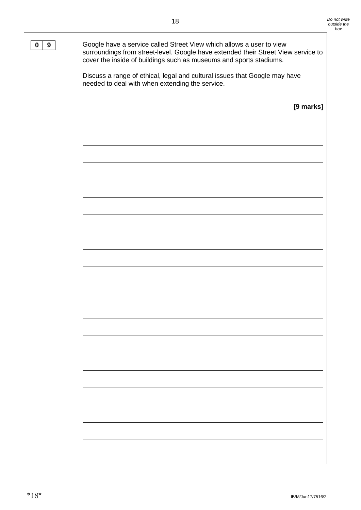**0** 9 Google have a service called Street View which allows a user to view surroundings from street-level. Google have extended their Street View service to cover the inside of buildings such as museums and sports stadiums. Discuss a range of ethical, legal and cultural issues that Google may have needed to deal with when extending the service. **[9 marks]**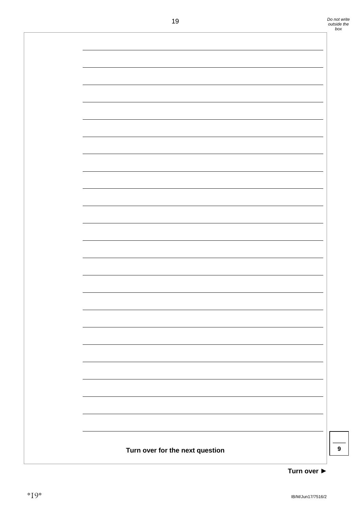

**Turn over ►**